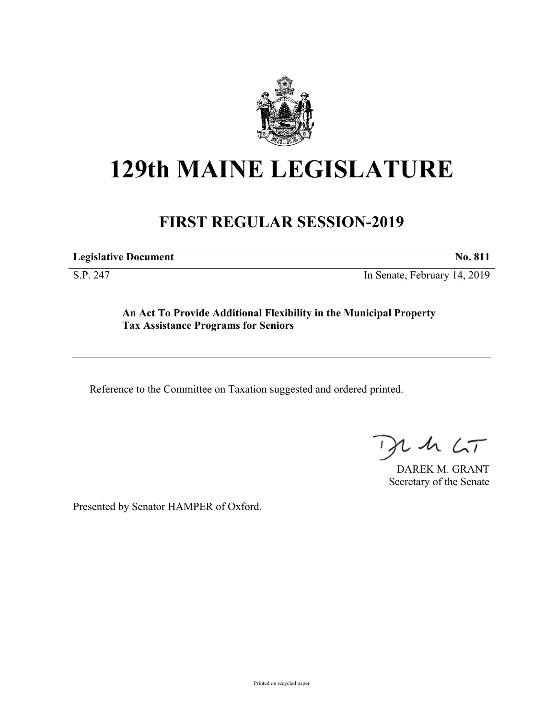

## **129th MAINE LEGISLATURE**

## **FIRST REGULAR SESSION-2019**

**Legislative Document No. 811**

S.P. 247 In Senate, February 14, 2019

**An Act To Provide Additional Flexibility in the Municipal Property Tax Assistance Programs for Seniors**

Reference to the Committee on Taxation suggested and ordered printed.

 $125$ 

DAREK M. GRANT Secretary of the Senate

Presented by Senator HAMPER of Oxford.